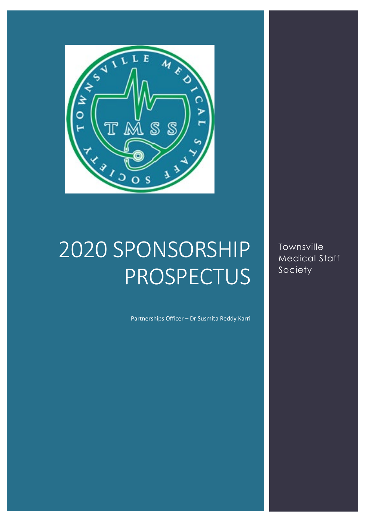

### 2020 SPONSORSHIP **PROSPECTUS**

Partnerships Officer – Dr Susmita Reddy Karri

Townsville Medical Staff Society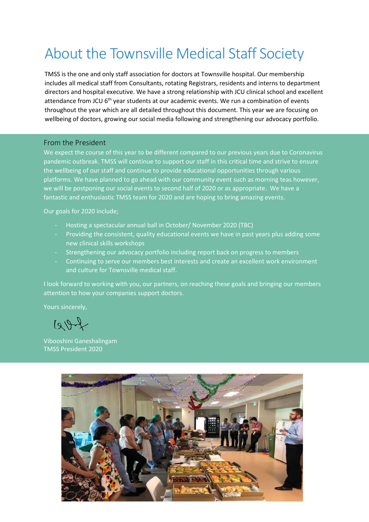### About the Townsville Medical Staff Society

TMSS is the one and only staff association for doctors at Townsville hospital. Our membership includes all medical staff from Consultants, rotating Registrars, residents and interns to department directors and hospital executive. We have a strong relationship with JCU clinical school and excellent attendance from JCU 6<sup>th</sup> year students at our academic events. We run a combination of events throughout the year which are all detailed throughout this document. This year we are focusing on wellbeing of doctors, growing our social media following and strengthening our advocacy portfolio.

#### From the President

We expect the course of this year to be different compared to our previous years due to Coronavirus pandemic outbreak. TMSS will continue to support our staff in this critical time and strive to ensure the wellbeing of our staff and continue to provide educational opportunities through various platforms. We have planned to go ahead with our community event such as morning teas however, we will be postponing our social events to second half of 2020 or as appropriate. We have a fantastic and enthusiastic TMSS team for 2020 and are hoping to bring amazing events.

Our goals for 2020 include;

- Hosting a spectacular annual ball in October/ November 2020 (TBC)
- Providing the consistent, quality educational events we have in past years plus adding some new clinical skills workshops
- Strengthening our advocacy portfolio including report back on progress to members
- Continuing to serve our members best interests and create an excellent work environment and culture for Townsville medical staff.

I look forward to working with you, our partners, on reaching these goals and bringing our members attention to how your companies support doctors.

Yours sincerely,

 $1992$ 

Vibooshini Ganeshalingam TMSS President 2020

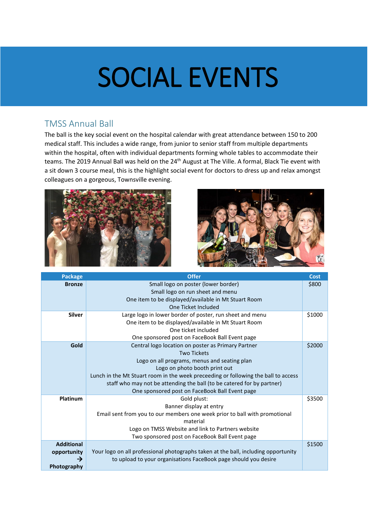## SOCIAL EVENTS

#### TMSS Annual Ball

The ball is the key social event on the hospital calendar with great attendance between 150 to 200 medical staff. This includes a wide range, from junior to senior staff from multiple departments within the hospital, often with individual departments forming whole tables to accommodate their teams. The 2019 Annual Ball was held on the 24<sup>th</sup> August at The Ville. A formal, Black Tie event with a sit down 3 course meal, this is the highlight social event for doctors to dress up and relax amongst colleagues on a gorgeous, Townsville evening.





| <b>Package</b>    | <b>Offer</b>                                                                       | <b>Cost</b> |
|-------------------|------------------------------------------------------------------------------------|-------------|
| <b>Bronze</b>     | Small logo on poster (lower border)                                                | \$800       |
|                   | Small logo on run sheet and menu                                                   |             |
|                   | One item to be displayed/available in Mt Stuart Room                               |             |
|                   | One Ticket Included                                                                |             |
| <b>Silver</b>     | Large logo in lower border of poster, run sheet and menu                           | \$1000      |
|                   | One item to be displayed/available in Mt Stuart Room                               |             |
|                   | One ticket included                                                                |             |
|                   | One sponsored post on FaceBook Ball Event page                                     |             |
| Gold              | Central logo location on poster as Primary Partner                                 | \$2000      |
|                   | <b>Two Tickets</b>                                                                 |             |
|                   | Logo on all programs, menus and seating plan                                       |             |
|                   | Logo on photo booth print out                                                      |             |
|                   | Lunch in the Mt Stuart room in the week preceeding or following the ball to access |             |
|                   | staff who may not be attending the ball (to be catered for by partner)             |             |
|                   | One sponsored post on FaceBook Ball Event page                                     |             |
| Platinum          | Gold plust:                                                                        | \$3500      |
|                   | Banner display at entry                                                            |             |
|                   | Email sent from you to our members one week prior to ball with promotional         |             |
|                   | material                                                                           |             |
|                   | Logo on TMSS Website and link to Partners website                                  |             |
|                   | Two sponsored post on FaceBook Ball Event page                                     |             |
| <b>Additional</b> |                                                                                    | \$1500      |
| opportunity       | Your logo on all professional photographs taken at the ball, including opportunity |             |
| →                 | to upload to your organisations FaceBook page should you desire                    |             |
| Photography       |                                                                                    |             |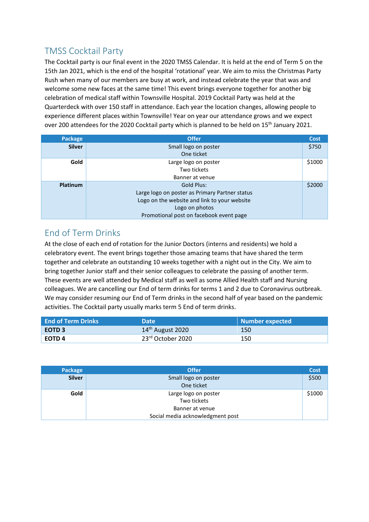#### TMSS Cocktail Party

The Cocktail party is our final event in the 2020 TMSS Calendar. It is held at the end of Term 5 on the 15th Jan 2021, which is the end of the hospital 'rotational' year. We aim to miss the Christmas Party Rush when many of our members are busy at work, and instead celebrate the year that was and welcome some new faces at the same time! This event brings everyone together for another big celebration of medical staff within Townsville Hospital. 2019 Cocktail Party was held at the Quarterdeck with over 150 staff in attendance. Each year the location changes, allowing people to experience different places within Townsville! Year on year our attendance grows and we expect over 200 attendees for the 2020 Cocktail party which is planned to be held on 15<sup>th</sup> January 2021.

| Package       | <b>Offer</b>                                   | Cost   |
|---------------|------------------------------------------------|--------|
| <b>Silver</b> | Small logo on poster                           | \$750  |
|               | One ticket                                     |        |
| Gold          | Large logo on poster                           | \$1000 |
|               | Two tickets                                    |        |
|               | Banner at venue                                |        |
| Platinum      | Gold Plus:                                     | \$2000 |
|               | Large logo on poster as Primary Partner status |        |
|               | Logo on the website and link to your website   |        |
|               | Logo on photos                                 |        |
|               | Promotional post on facebook event page        |        |

#### End of Term Drinks

At the close of each end of rotation for the Junior Doctors (interns and residents) we hold a celebratory event. The event brings together those amazing teams that have shared the term together and celebrate an outstanding 10 weeks together with a night out in the City. We aim to bring together Junior staff and their senior colleagues to celebrate the passing of another term. These events are well attended by Medical staff as well as some Allied Health staff and Nursing colleagues. We are cancelling our End of term drinks for terms 1 and 2 due to Coronavirus outbreak. We may consider resuming our End of Term drinks in the second half of year based on the pandemic activities. The Cocktail party usually marks term 5 End of term drinks.

| <b>End of Term Drinks</b> | <b>Date</b>        | <b>Number expected</b> |
|---------------------------|--------------------|------------------------|
| EOTD <sub>3</sub>         | $14th$ August 2020 | 150                    |
| EOTD 4                    | 23rd October 2020  | 150                    |

| Package       | <b>Offer</b>                     | <b>Cost</b> |
|---------------|----------------------------------|-------------|
| <b>Silver</b> | Small logo on poster             | \$500       |
|               | One ticket                       |             |
| Gold          | Large logo on poster             | \$1000      |
|               | Two tickets                      |             |
|               | Banner at venue                  |             |
|               | Social media acknowledgment post |             |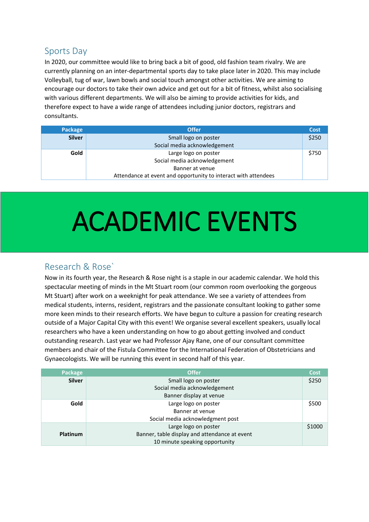#### Sports Day

In 2020, our committee would like to bring back a bit of good, old fashion team rivalry. We are currently planning on an inter-departmental sports day to take place later in 2020. This may include Volleyball, tug of war, lawn bowls and social touch amongst other activities. We are aiming to encourage our doctors to take their own advice and get out for a bit of fitness, whilst also socialising with various different departments. We will also be aiming to provide activities for kids, and therefore expect to have a wide range of attendees including junior doctors, registrars and consultants.

| Package       | <b>Offer</b>                                                   | Cost  |
|---------------|----------------------------------------------------------------|-------|
| <b>Silver</b> | Small logo on poster                                           | \$250 |
|               | Social media acknowledgement                                   |       |
| Gold          | Large logo on poster                                           | \$750 |
|               | Social media acknowledgement                                   |       |
|               | Banner at venue                                                |       |
|               | Attendance at event and opportunity to interact with attendees |       |

## ACADEMIC EVENTS

#### Research & Rose`

Now in its fourth year, the Research & Rose night is a staple in our academic calendar. We hold this spectacular meeting of minds in the Mt Stuart room (our common room overlooking the gorgeous Mt Stuart) after work on a weeknight for peak attendance. We see a variety of attendees from medical students, interns, resident, registrars and the passionate consultant looking to gather some more keen minds to their research efforts. We have begun to culture a passion for creating research outside of a Major Capital City with this event! We organise several excellent speakers, usually local researchers who have a keen understanding on how to go about getting involved and conduct outstanding research. Last year we had Professor Ajay Rane, one of our consultant committee members and chair of the Fistula Committee for the International Federation of Obstetricians and Gynaecologists. We will be running this event in second half of this year.

| Package       | <b>Offer</b>                                  | Cost   |
|---------------|-----------------------------------------------|--------|
| <b>Silver</b> | Small logo on poster                          | \$250  |
|               | Social media acknowledgement                  |        |
|               | Banner display at venue                       |        |
| Gold          | Large logo on poster                          | \$500  |
|               | Banner at venue                               |        |
|               | Social media acknowledgment post              |        |
|               | Large logo on poster                          | \$1000 |
| Platinum      | Banner, table display and attendance at event |        |
|               | 10 minute speaking opportunity                |        |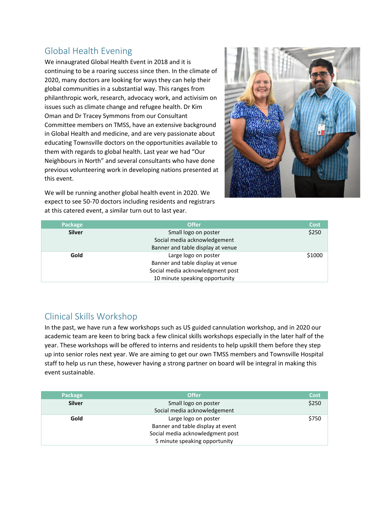#### Global Health Evening

We innaugrated Global Health Event in 2018 and it is continuing to be a roaring success since then. In the climate of 2020, many doctors are looking for ways they can help their global communities in a substantial way. This ranges from philanthropic work, research, advocacy work, and activisim on issues such as climate change and refugee health. Dr Kim Oman and Dr Tracey Symmons from our Consultant Committee members on TMSS, have an extensive background in Global Health and medicine, and are very passionate about educating Townsville doctors on the opportunities available to them with regards to global health. Last year we had "Our Neighbours in North" and several consultants who have done previous volunteering work in developing nations presented at this event.



We will be running another global health event in 2020. We expect to see 50-70 doctors including residents and registrars at this catered event, a similar turn out to last year.

| Package       | <b>Offer</b>                      | <b>Cost</b> |
|---------------|-----------------------------------|-------------|
| <b>Silver</b> | Small logo on poster              | \$250       |
|               | Social media acknowledgement      |             |
|               | Banner and table display at venue |             |
| Gold          | Large logo on poster              | \$1000      |
|               | Banner and table display at venue |             |
|               | Social media acknowledgment post  |             |
|               | 10 minute speaking opportunity    |             |

#### Clinical Skills Workshop

In the past, we have run a few workshops such as US guided cannulation workshop, and in 2020 our academic team are keen to bring back a few clinical skills workshops especially in the later half of the year. These workshops will be offered to interns and residents to help upskill them before they step up into senior roles next year. We are aiming to get our own TMSS members and Townsville Hospital staff to help us run these, however having a strong partner on board will be integral in making this event sustainable.

| Package       | <b>Offer</b>                      | Cost  |
|---------------|-----------------------------------|-------|
| <b>Silver</b> | Small logo on poster              | \$250 |
|               | Social media acknowledgement      |       |
| Gold          | Large logo on poster              | \$750 |
|               | Banner and table display at event |       |
|               | Social media acknowledgment post  |       |
|               | 5 minute speaking opportunity     |       |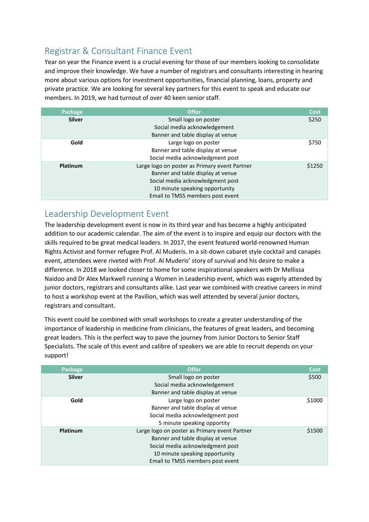#### Registrar & Consultant Finance Event

Year on year the Finance event is a crucial evening for those of our members looking to consolidate and improve their knowledge. We have a number of registrars and consultants interesting in hearing more about various options for investment opportunities, financial planning, loans, property and private practice. We are looking for several key partners for this event to speak and educate our members. In 2019, we had turnout of over 40 keen senior staff.

| Package       | <b>Offer</b>                                  | Cost   |
|---------------|-----------------------------------------------|--------|
| <b>Silver</b> | Small logo on poster                          | \$250  |
|               | Social media acknowledgement                  |        |
|               | Banner and table display at venue             |        |
| Gold          | Large logo on poster                          | \$750  |
|               | Banner and table display at venue             |        |
|               | Social media acknowledgment post              |        |
| Platinum      | Large logo on poster as Primary event Partner | \$1250 |
|               | Banner and table display at venue             |        |
|               | Social media acknowledgment post              |        |
|               | 10 minute speaking opportunity                |        |
|               | Email to TMSS members post event              |        |

#### Leadership Development Event

The leadership development event is now in its third year and has become a highly anticipated addition to our academic calendar. The aim of the event is to inspire and equip our doctors with the skills required to be great medical leaders. In 2017, the event featured world-renowned Human Rights Activist and former refugee Prof. Al Muderis. In a sit-down cabaret style cocktail and canapés event, attendees were riveted with Prof. Al Muderis' story of survival and his desire to make a difference. In 2018 we looked closer to home for some inspirational speakers with Dr Mellissa Naidoo and Dr Alex Markwell running a Women in Leadership event, which was eagerly attended by junior doctors, registrars and consultants alike. Last year we combined with creative careers in mind to host a workshop event at the Pavilion, which was well attended by several junior doctors, registrars and consultant.

This event could be combined with small workshops to create a greater understanding of the importance of leadership in medicine from clinicians, the features of great leaders, and becoming great leaders. This is the perfect way to pave the journey from Junior Doctors to Senior Staff Specialists. The scale of this event and calibre of speakers we are able to recruit depends on your support!

| Package       | <b>Offer</b>                                  | Cost   |
|---------------|-----------------------------------------------|--------|
| <b>Silver</b> | Small logo on poster                          | \$500  |
|               | Social media acknowledgement                  |        |
|               | Banner and table display at venue             |        |
| Gold          | Large logo on poster                          | \$1000 |
|               | Banner and table display at venue             |        |
|               | Social media acknowledgment post              |        |
|               | 5 minute speaking opportity                   |        |
| Platinum      | Large logo on poster as Primary event Partner | \$1500 |
|               | Banner and table display at venue             |        |
|               | Social media acknowledgment post              |        |
|               | 10 minute speaking opportunity                |        |
|               | Email to TMSS members post event              |        |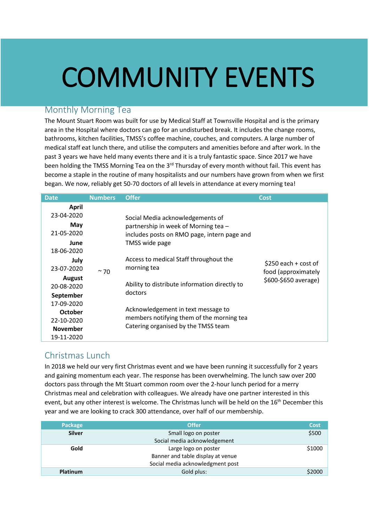# COMMUNITY EVENTS

#### Monthly Morning Tea

The Mount Stuart Room was built for use by Medical Staff at Townsville Hospital and is the primary area in the Hospital where doctors can go for an undisturbed break. It includes the change rooms, bathrooms, kitchen facilities, TMSS's coffee machine, couches, and computers. A large number of medical staff eat lunch there, and utilise the computers and amenities before and after work. In the past 3 years we have held many events there and it is a truly fantastic space. Since 2017 we have been holding the TMSS Morning Tea on the 3<sup>rd</sup> Thursday of every month without fail. This event has become a staple in the routine of many hospitalists and our numbers have grown from when we first began. We now, reliably get 50-70 doctors of all levels in attendance at every morning tea!

| <b>Date</b>                         | <b>Numbers</b> | <b>Offer</b>                                                                                                           | Cost                                                                  |
|-------------------------------------|----------------|------------------------------------------------------------------------------------------------------------------------|-----------------------------------------------------------------------|
| <b>April</b><br>23-04-2020          |                | Social Media acknowledgements of                                                                                       |                                                                       |
| May<br>21-05-2020                   |                | partnership in week of Morning tea -<br>includes posts on RMO page, intern page and                                    |                                                                       |
| June<br>18-06-2020                  |                | TMSS wide page                                                                                                         |                                                                       |
| July<br>23-07-2020                  | $~\sim$ 70     | Access to medical Staff throughout the<br>morning tea                                                                  | \$250 each $+$ cost of<br>food (approximately<br>\$600-\$650 average) |
| August<br>20-08-2020                |                | Ability to distribute information directly to                                                                          |                                                                       |
| September                           |                | doctors                                                                                                                |                                                                       |
| 17-09-2020<br>October<br>22-10-2020 |                | Acknowledgement in text message to<br>members notifying them of the morning tea<br>Catering organised by the TMSS team |                                                                       |
| <b>November</b><br>19-11-2020       |                |                                                                                                                        |                                                                       |

#### Christmas Lunch

In 2018 we held our very first Christmas event and we have been running it successfully for 2 years and gaining momentum each year. The response has been overwhelming. The lunch saw over 200 doctors pass through the Mt Stuart common room over the 2-hour lunch period for a merry Christmas meal and celebration with colleagues. We already have one partner interested in this event, but any other interest is welcome. The Christmas lunch will be held on the 16<sup>th</sup> December this year and we are looking to crack 300 attendance, over half of our membership.

| Package         | <b>Offer</b>                      | Cost   |
|-----------------|-----------------------------------|--------|
| <b>Silver</b>   | Small logo on poster              | \$500  |
|                 | Social media acknowledgement      |        |
| Gold            | Large logo on poster              | \$1000 |
|                 | Banner and table display at venue |        |
|                 | Social media acknowledgment post  |        |
| <b>Platinum</b> | Gold plus:                        | \$2000 |